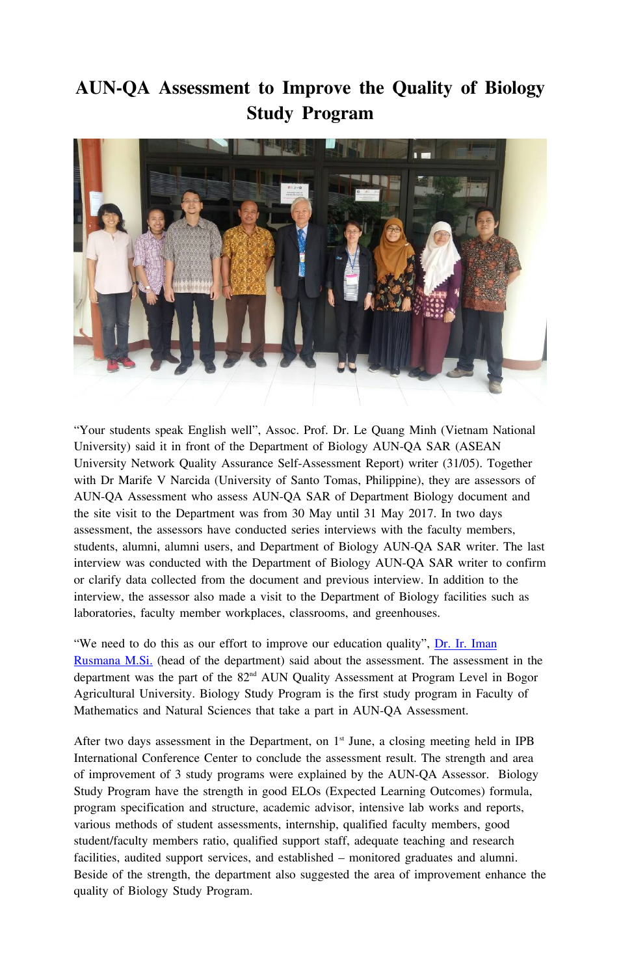## **AUN-QA Assessment to Improve the Quality of Biology Study Program**



"Your students speak English well", Assoc. Prof. Dr. Le Quang Minh (Vietnam National University) said it in front of the Department of Biology AUN-QA SAR (ASEAN University Network Quality Assurance Self-Assessment Report) writer (31/05). Together with Dr Marife V Narcida (University of Santo Tomas, Philippine), they are assessors of AUN-QA Assessment who assess AUN-QA SAR of Department Biology document and the site visit to the Department was from 30 May until 31 May 2017. In two days assessment, the assessors have conducted series interviews with the faculty members, students, alumni, alumni users, and Department of Biology AUN-QA SAR writer. The last interview was conducted with the Department of Biology AUN-QA SAR writer to confirm or clarify data collected from the document and previous interview. In addition to the interview, the assessor also made a visit to the Department of Biology facilities such as laboratories, faculty member workplaces, classrooms, and greenhouses.

"We need to do this as our effort to improve our education quality", [Dr. Ir. Iman](http://biologi.ipb.ac.id/web/en/faculty/profile/12/iman-rusmana) [Rusmana M.Si.](http://biologi.ipb.ac.id/web/en/faculty/profile/12/iman-rusmana) (head of the department) said about the assessment. The assessment in the department was the part of the 82nd AUN Quality Assessment at Program Level in Bogor Agricultural University. Biology Study Program is the first study program in Faculty of Mathematics and Natural Sciences that take a part in AUN-QA Assessment.

After two days assessment in the Department, on  $1<sup>st</sup>$  June, a closing meeting held in IPB International Conference Center to conclude the assessment result. The strength and area of improvement of 3 study programs were explained by the AUN-QA Assessor. Biology Study Program have the strength in good ELOs (Expected Learning Outcomes) formula, program specification and structure, academic advisor, intensive lab works and reports, various methods of student assessments, internship, qualified faculty members, good student/faculty members ratio, qualified support staff, adequate teaching and research facilities, audited support services, and established – monitored graduates and alumni. Beside of the strength, the department also suggested the area of improvement enhance the quality of Biology Study Program.